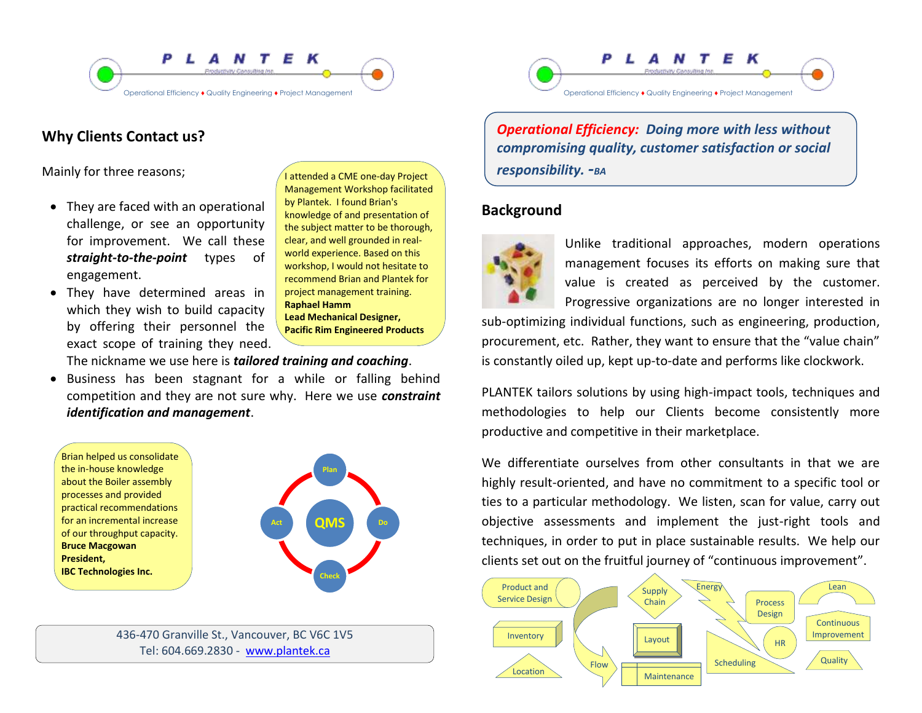



## **Why Clients Contact us?**

Mainly for three reasons;

- They are faced with an operational challenge, or see an opportunity for improvement. We call these *straight-to-the-point* types of engagement.
- They have determined areas in which they wish to build capacity by offering their personnel the exact scope of training they need.

I attended a CME one-day Project Management Workshop facilitated by Plantek. I found Brian's knowledge of and presentation of the subject matter to be thorough, clear, and well grounded in realworld experience. Based on this workshop, I would not hesitate to recommend Brian and Plantek for project management training. **Raphael Hamm Lead Mechanical Designer, Pacific Rim Engineered Products**

The nickname we use here is *tailored training and coaching*.

 Business has been stagnant for a while or falling behind competition and they are not sure why. Here we use *constraint identification and management*.

Brian helped us consolidate the in-house knowledge about the Boiler assembly processes and provided practical recommendations for an incremental increase of our throughput capacity. **Bruce Macgowan President, IBC Technologies Inc.**



436-470 Granville St., Vancouver, BC V6C 1V5 Tel: 604.669.2830 - <www.plantek.ca>

*Operational Efficiency: Doing more with less without compromising quality, customer satisfaction or social responsibility. -BA*

## **Background**



Unlike traditional approaches, modern operations management focuses its efforts on making sure that value is created as perceived by the customer. Progressive organizations are no longer interested in

sub-optimizing individual functions, such as engineering, production, procurement, etc. Rather, they want to ensure that the "value chain" is constantly oiled up, kept up-to-date and performs like clockwork.

PLANTEK tailors solutions by using high-impact tools, techniques and methodologies to help our Clients become consistently more productive and competitive in their marketplace.

We differentiate ourselves from other consultants in that we are highly result-oriented, and have no commitment to a specific tool or ties to a particular methodology. We listen, scan for value, carry out objective assessments and implement the just-right tools and techniques, in order to put in place sustainable results. We help our clients set out on the fruitful journey of "continuous improvement".